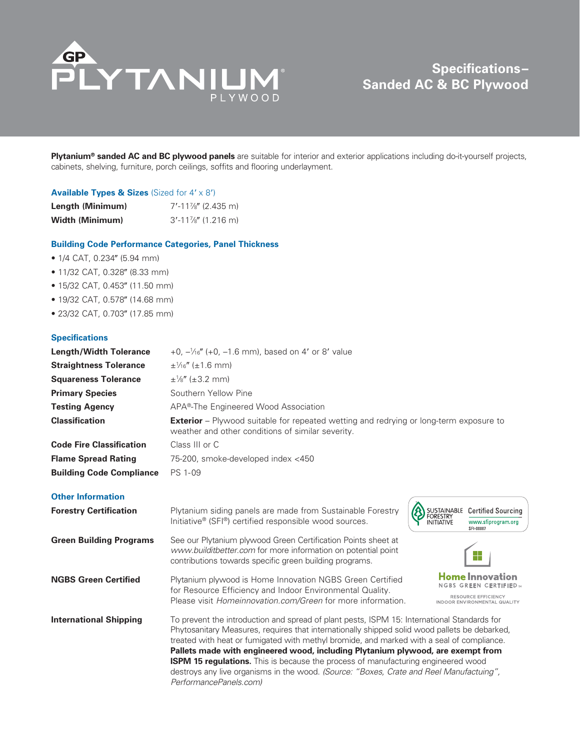

# **Specifications– Sanded AC & BC Plywood**

**Plytanium® sanded AC and BC plywood panels** are suitable for interior and exterior applications including do-it-yourself projects, cabinets, shelving, furniture, porch ceilings, soffits and flooring underlayment.

## **Available Types & Sizes** (Sized for  $4' \times 8'$ )

| Length (Minimum) | $7'$ -11%" (2.435 m) |
|------------------|----------------------|
| Width (Minimum)  | $3'$ -11%" (1.216 m) |

### **Building Code Performance Categories, Panel Thickness**

- $\bullet$  1/4 CAT, 0.234" (5.94 mm)
- $\bullet$  11/32 CAT, 0.328" (8.33 mm)
- 15/32 CAT, 0.453" (11.50 mm)
- $\bullet$  19/32 CAT, 0.578" (14.68 mm)
- 23/32 CAT, 0.703" (17.85 mm)

## **Specifications**

| <b>Length/Width Tolerance</b>   | $+0$ , $-\frac{1}{16}$ " (+0, -1.6 mm), based on 4' or 8' value                                                                                                                                                                                                                                                                                                                                                                                                                                                                                                                               |  |  |  |  |
|---------------------------------|-----------------------------------------------------------------------------------------------------------------------------------------------------------------------------------------------------------------------------------------------------------------------------------------------------------------------------------------------------------------------------------------------------------------------------------------------------------------------------------------------------------------------------------------------------------------------------------------------|--|--|--|--|
| <b>Straightness Tolerance</b>   | $\pm\frac{1}{6}$ ( $\pm1.6$ mm)                                                                                                                                                                                                                                                                                                                                                                                                                                                                                                                                                               |  |  |  |  |
| <b>Squareness Tolerance</b>     | $\pm\frac{1}{8}$ " ( $\pm 3.2$ mm)                                                                                                                                                                                                                                                                                                                                                                                                                                                                                                                                                            |  |  |  |  |
| <b>Primary Species</b>          | Southern Yellow Pine                                                                                                                                                                                                                                                                                                                                                                                                                                                                                                                                                                          |  |  |  |  |
| <b>Testing Agency</b>           | APA®-The Engineered Wood Association                                                                                                                                                                                                                                                                                                                                                                                                                                                                                                                                                          |  |  |  |  |
| <b>Classification</b>           | <b>Exterior</b> – Plywood suitable for repeated wetting and redrying or long-term exposure to<br>weather and other conditions of similar severity.                                                                                                                                                                                                                                                                                                                                                                                                                                            |  |  |  |  |
| <b>Code Fire Classification</b> | Class III or C                                                                                                                                                                                                                                                                                                                                                                                                                                                                                                                                                                                |  |  |  |  |
| <b>Flame Spread Rating</b>      | 75-200, smoke-developed index <450                                                                                                                                                                                                                                                                                                                                                                                                                                                                                                                                                            |  |  |  |  |
| <b>Building Code Compliance</b> | PS 1-09                                                                                                                                                                                                                                                                                                                                                                                                                                                                                                                                                                                       |  |  |  |  |
| <b>Other Information</b>        |                                                                                                                                                                                                                                                                                                                                                                                                                                                                                                                                                                                               |  |  |  |  |
| <b>Forestry Certification</b>   | Plytanium siding panels are made from Sustainable Forestry<br>SUSTAINABLE Certified Sourcing<br><b>FORESTRY</b><br>Initiative <sup>®</sup> (SFI <sup>®</sup> ) certified responsible wood sources.<br><b>INITIATIVE</b><br>www.sfiprogram.org<br>SFI-00007                                                                                                                                                                                                                                                                                                                                    |  |  |  |  |
| <b>Green Building Programs</b>  | See our Plytanium plywood Green Certification Points sheet at<br>www.builditbetter.com for more information on potential point<br><b>College</b><br>contributions towards specific green building programs.                                                                                                                                                                                                                                                                                                                                                                                   |  |  |  |  |
| <b>NGBS Green Certified</b>     | <b>Home Innovation</b><br>Plytanium plywood is Home Innovation NGBS Green Certified<br>REEN CERTIFIED»<br>for Resource Efficiency and Indoor Environmental Quality.<br>RESOURCE EFFICIENCY<br>Please visit <i>Homeinnovation.com/Green</i> for more information.<br><b>INDOOR ENVIRONMENTAL QUALITY</b>                                                                                                                                                                                                                                                                                       |  |  |  |  |
| <b>International Shipping</b>   | To prevent the introduction and spread of plant pests, ISPM 15: International Standards for<br>Phytosanitary Measures, requires that internationally shipped solid wood pallets be debarked,<br>treated with heat or fumigated with methyl bromide, and marked with a seal of compliance.<br>Pallets made with engineered wood, including Plytanium plywood, are exempt from<br><b>ISPM 15 regulations.</b> This is because the process of manufacturing engineered wood<br>destroys any live organisms in the wood. (Source: "Boxes, Crate and Reel Manufactuing",<br>PerformancePanels.com) |  |  |  |  |